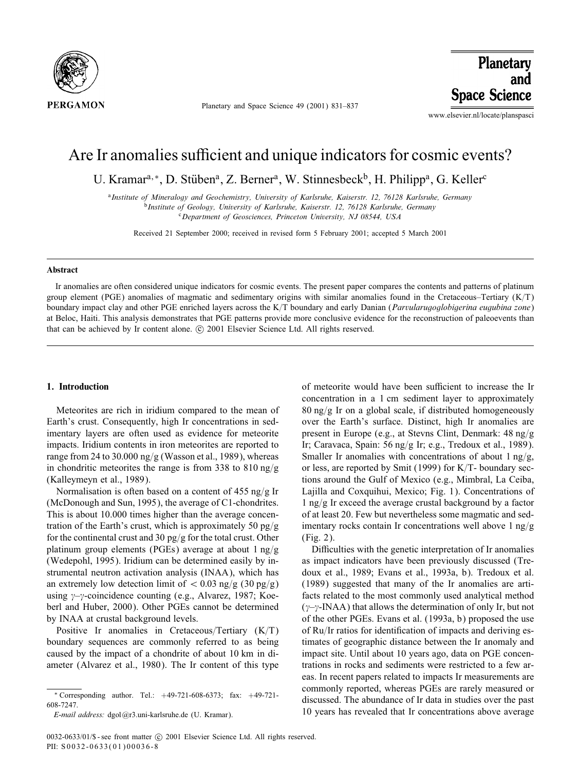

Planetary and Space Science 49 (2001) 831–837

Planetary and **Space Science** 

www.elsevier.nl/locate/planspasci

# Are Ir anomalies sufficient and unique indicators for cosmic events?

U. Kramar<sup>a,∗</sup>, D. Stüben<sup>a</sup>, Z. Berner<sup>a</sup>, W. Stinnesbeck<sup>b</sup>, H. Philipp<sup>a</sup>, G. Keller<sup>c</sup>

<sup>a</sup>*Institute of Mineralogy and Geochemistry, University of Karlsruhe, Kaiserstr. 12, 76128 Karlsruhe, Germany* <sup>b</sup>*Institute of Geology, University of Karlsruhe, Kaiserstr. 12, 76128 Karlsruhe, Germany* <sup>c</sup>*Department of Geosciences, Princeton University, NJ 08544, USA*

Received 21 September 2000; received in revised form 5 February 2001; accepted 5 March 2001

#### Abstract

Ir anomalies are often considered unique indicators for cosmic events. The present paper compares the contents and patterns of platinum group element (PGE) anomalies of magmatic and sedimentary origins with similar anomalies found in the Cretaceous–Tertiary  $(K/T)$ boundary impact clay and other PGE enriched layers across the K/T boundary and early Danian (*Parvularugoglobigerina eugubina zone*) at Beloc, Haiti. This analysis demonstrates that PGE patterns provide more conclusive evidence for the reconstruction of paleoevents than that can be achieved by Ir content alone. © 2001 Elsevier Science Ltd. All rights reserved.

## 1. Introduction

Meteorites are rich in iridium compared to the mean of Earth's crust. Consequently, high Ir concentrations in sedimentary layers are often used as evidence for meteorite impacts. Iridium contents in iron meteorites are reported to range from 24 to 30.000 ng/g (Wasson et al., 1989), whereas in chondritic meteorites the range is from 338 to 810 ng/g (Kalleymeyn et al., 1989).

Normalisation is often based on a content of 455 ng/g Ir (McDonough and Sun, 1995), the average of C1-chondrites. This is about 10.000 times higher than the average concentration of the Earth's crust, which is approximately 50 pg/g for the continental crust and 30 pg/g for the total crust. Other platinum group elements (PGEs) average at about  $1 \text{ ng/g}$ (Wedepohl, 1995). Iridium can be determined easily by instrumental neutron activation analysis (INAA), which has an extremely low detection limit of  $< 0.03$  ng/g (30 pg/g) using  $\gamma$ - $\gamma$ -coincidence counting (e.g., Alvarez, 1987; Koeberl and Huber, 2000). Other PGEs cannot be determined by INAA at crustal background levels.

Positive Ir anomalies in Cretaceous/Tertiary  $(K/T)$ boundary sequences are commonly referred to as being caused by the impact of a chondrite of about 10 km in diameter (Alvarez et al., 1980). The Ir content of this type

of meteorite would have been sufficient to increase the Ir concentration in a 1 cm sediment layer to approximately  $80 \text{ ng/g}$  Ir on a global scale, if distributed homogeneously over the Earth's surface. Distinct, high Ir anomalies are present in Europe (e.g., at Stevns Clint, Denmark:  $48 \text{ ng/g}$ Ir; Caravaca, Spain: 56 ng/g Ir; e.g., Tredoux et al., 1989). Smaller Ir anomalies with concentrations of about 1 ng/g, or less, are reported by Smit (1999) for  $K/T$ - boundary sections around the Gulf of Mexico (e.g., Mimbral, La Ceiba, Lajilla and Coxquihui, Mexico; Fig. 1). Concentrations of  $1$  ng/g Ir exceed the average crustal background by a factor of at least 20. Few but nevertheless some magmatic and sedimentary rocks contain Ir concentrations well above  $1 \text{ ng/g}$ (Fig. 2).

Difficulties with the genetic interpretation of Ir anomalies as impact indicators have been previously discussed (Tredoux et al., 1989; Evans et al., 1993a, b). Tredoux et al. (1989) suggested that many of the Ir anomalies are artifacts related to the most commonly used analytical method  $(\gamma-\gamma$ -INAA) that allows the determination of only Ir, but not of the other PGEs. Evans et al. (1993a, b) proposed the use of Ru/Ir ratios for identification of impacts and deriving estimates of geographic distance between the Ir anomaly and impact site. Until about 10 years ago, data on PGE concentrations in rocks and sediments were restricted to a few areas. In recent papers related to impacts Ir measurements are commonly reported, whereas PGEs are rarely measured or discussed. The abundance of Ir data in studies over the past 10 years has revealed that Ir concentrations above average

<sup>∗</sup> Corresponding author. Tel.: +49-721-608-6373; fax: +49-721- 608-7247.

*E-mail address:* dgo1@r3.uni-karlsruhe.de (U. Kramar).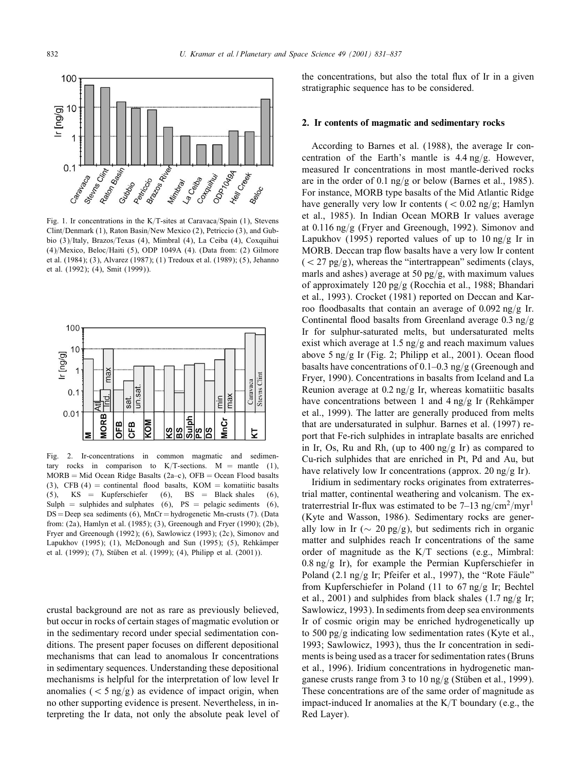

Fig. 1. Ir concentrations in the K/T-sites at Caravaca/Spain  $(1)$ , Stevens Clint/Denmark (1), Raton Basin/New Mexico (2), Petriccio (3), and Gubbio (3)/Italy, Brazos/Texas (4), Mimbral (4), La Ceiba (4), Coxquihui (4)/Mexico, Beloc/Haiti (5), ODP 1049A (4). (Data from: (2) Gilmore et al. (1984); (3), Alvarez (1987); (1) Tredoux et al. (1989); (5), Jehanno et al. (1992); (4), Smit (1999)).



Fig. 2. Ir-concentrations in common magmatic and sedimentary rocks in comparison to K/T-sections. M = mantle (1),  $MORB = Mid Ocean Ridge Basalts (2a-c), OFB = Ocean Flood basalts$ (3), CFB (4) = continental flood basalts, KOM = komatiitic basalts<br>
(5), KS = Kupferschiefer (6), BS = Black shales (6), (5), KS = Kupferschiefer (6), BS = Black shales (6), Sulph = sulphides and sulphates (6),  $PS$  = pelagic sediments (6), DS = Deep sea sediments (6), MnCr = hydrogenetic Mn-crusts (7). (Data from: (2a), Hamlyn et al. (1985); (3), Greenough and Fryer (1990); (2b), Fryer and Greenough (1992); (6), Sawlowicz (1993); (2c), Simonov and Lapukhov (1995); (1), McDonough and Sun (1995); (5), Rehkämper et al. (1999); (7), Stüben et al. (1999); (4), Philipp et al. (2001)).

crustal background are not as rare as previously believed, but occur in rocks of certain stages of magmatic evolution or in the sedimentary record under special sedimentation conditions. The present paper focuses on different depositional mechanisms that can lead to anomalous Ir concentrations in sedimentary sequences. Understanding these depositional mechanisms is helpful for the interpretation of low level Ir anomalies ( $\lt$  5 ng/g) as evidence of impact origin, when no other supporting evidence is present. Nevertheless, in interpreting the Ir data, not only the absolute peak level of

the concentrations, but also the total Mux of Ir in a given stratigraphic sequence has to be considered.

#### 2. Ir contents of magmatic and sedimentary rocks

According to Barnes et al. (1988), the average Ir concentration of the Earth's mantle is  $4.4 \text{ ng/g}$ . However, measured Ir concentrations in most mantle-derived rocks are in the order of 0.1 ng/g or below (Barnes et al., 1985). For instance, MORB type basalts of the Mid Atlantic Ridge have generally very low Ir contents  $(< 0.02$  ng/g; Hamlyn et al., 1985). In Indian Ocean MORB Ir values average at  $0.116$  ng/g (Fryer and Greenough, 1992). Simonov and Lapukhov (1995) reported values of up to  $10$  ng/g Ir in MORB. Deccan trap flow basalts have a very low Ir content  $(<$  27 pg/g), whereas the "intertrappean" sediments (clays, marls and ashes) average at 50 pg/g, with maximum values of approximately 120 pg/g (Rocchia et al., 1988; Bhandari et al., 1993). Crocket (1981) reported on Deccan and Karroo floodbasalts that contain an average of 0.092 ng/g Ir. Continental flood basalts from Greenland average  $0.3$  ng/g Ir for sulphur-saturated melts, but undersaturated melts exist which average at  $1.5$  ng/g and reach maximum values above 5 ng/g Ir (Fig. 2; Philipp et al., 2001). Ocean flood basalts have concentrations of 0.1–0.3 ng/g (Greenough and Fryer, 1990). Concentrations in basalts from Iceland and La Reunion average at  $0.2$  ng/g Ir, whereas komatiitic basalts have concentrations between 1 and 4 ng/g Ir (Rehkämper et al., 1999). The latter are generally produced from melts that are undersaturated in sulphur. Barnes et al. (1997) report that Fe-rich sulphides in intraplate basalts are enriched in Ir, Os, Ru and Rh, (up to  $400$  ng/g Ir) as compared to Cu-rich sulphides that are enriched in Pt, Pd and Au, but have relatively low Ir concentrations (approx. 20 ng/g Ir).

Iridium in sedimentary rocks originates from extraterrestrial matter, continental weathering and volcanism. The extraterrestrial Ir-flux was estimated to be  $7-13$  ng/cm<sup>2</sup>/myr<sup>1</sup> (Kyte and Wasson, 1986). Sedimentary rocks are generally low in Ir ( $\sim$  20 pg/g), but sediments rich in organic matter and sulphides reach Ir concentrations of the same order of magnitude as the  $K/T$  sections (e.g., Mimbral:  $0.8 \text{ ng/g }$  Ir), for example the Permian Kupferschiefer in Poland (2.1 ng/g Ir; Pfeifer et al., 1997), the "Rote Fäule" from Kupferschiefer in Poland (11 to  $67 \text{ ng/g}$  Ir; Bechtel et al., 2001) and sulphides from black shales  $(1.7 \text{ ng/g Tr};$ Sawlowicz, 1993). In sediments from deep sea environments Ir of cosmic origin may be enriched hydrogenetically up to 500 pg/g indicating low sedimentation rates (Kyte et al., 1993; Sawlowicz, 1993), thus the Ir concentration in sediments is being used as a tracer for sedimentation rates (Bruns et al., 1996). Iridium concentrations in hydrogenetic manganese crusts range from 3 to 10 ng/g (Stüben et al., 1999). These concentrations are of the same order of magnitude as impact-induced Ir anomalies at the  $K/T$  boundary (e.g., the Red Layer).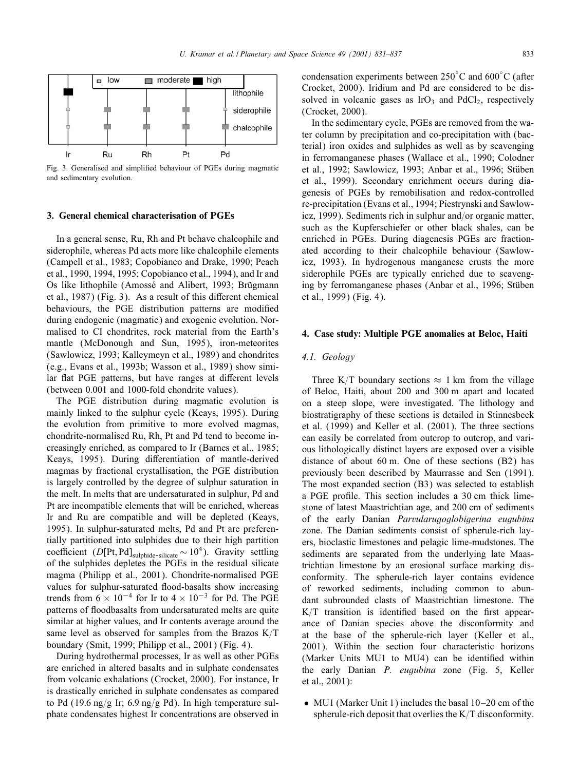

Fig. 3. Generalised and simplified behaviour of PGEs during magmatic and sedimentary evolution.

#### 3. General chemical characterisation of PGEs

In a general sense, Ru, Rh and Pt behave chalcophile and siderophile, whereas Pd acts more like chalcophile elements (Campell et al., 1983; Copobianco and Drake, 1990; Peach et al., 1990, 1994, 1995; Copobianco et al., 1994), and Ir and Os like lithophile (Amossé and Alibert, 1993; Brügmann et al., 1987) (Fig. 3). As a result of this different chemical behaviours, the PGE distribution patterns are modified during endogenic (magmatic) and exogenic evolution. Normalised to CI chondrites, rock material from the Earth's mantle (McDonough and Sun, 1995), iron-meteorites (Sawlowicz, 1993; Kalleymeyn et al., 1989) and chondrites (e.g., Evans et al., 1993b; Wasson et al., 1989) show similar flat PGE patterns, but have ranges at different levels (between 0.001 and 1000-fold chondrite values).

The PGE distribution during magmatic evolution is mainly linked to the sulphur cycle (Keays, 1995). During the evolution from primitive to more evolved magmas, chondrite-normalised Ru, Rh, Pt and Pd tend to become increasingly enriched, as compared to Ir (Barnes et al., 1985; Keays, 1995). During differentiation of mantle-derived magmas by fractional crystallisation, the PGE distribution is largely controlled by the degree of sulphur saturation in the melt. In melts that are undersaturated in sulphur, Pd and Pt are incompatible elements that will be enriched, whereas Ir and Ru are compatible and will be depleted (Keays, 1995). In sulphur-saturated melts, Pd and Pt are preferentially partitioned into sulphides due to their high partition coefficient (D[Pt, Pd]<sub>sulphide-silicate</sub> ~ 10<sup>4</sup>). Gravity settling of the sulphides depletes the PGEs in the residual silicate magma (Philipp et al., 2001). Chondrite-normalised PGE values for sulphur-saturated flood-basalts show increasing trends from  $6 \times 10^{-4}$  for Ir to  $4 \times 10^{-3}$  for Pd. The PGE patterns of floodbasalts from undersaturated melts are quite similar at higher values, and Ir contents average around the same level as observed for samples from the Brazos  $K/T$ boundary (Smit, 1999; Philipp et al., 2001) (Fig. 4).

During hydrothermal processes, Ir as well as other PGEs are enriched in altered basalts and in sulphate condensates from volcanic exhalations (Crocket, 2000). For instance, Ir is drastically enriched in sulphate condensates as compared to Pd (19.6 ng/g Ir; 6.9 ng/g Pd). In high temperature sulphate condensates highest Ir concentrations are observed in

condensation experiments between  $250^{\circ}$ C and  $600^{\circ}$ C (after Crocket, 2000). Iridium and Pd are considered to be dissolved in volcanic gases as  $IrO<sub>3</sub>$  and  $PdCl<sub>2</sub>$ , respectively (Crocket, 2000).

In the sedimentary cycle, PGEs are removed from the water column by precipitation and co-precipitation with (bacterial) iron oxides and sulphides as well as by scavenging in ferromanganese phases (Wallace et al., 1990; Colodner et al., 1992; Sawlowicz, 1993; Anbar et al., 1996; Stüben et al., 1999). Secondary enrichment occurs during diagenesis of PGEs by remobilisation and redox-controlled re-precipitation (Evans et al., 1994; Piestrynski and Sawlowicz, 1999). Sediments rich in sulphur and/or organic matter, such as the Kupferschiefer or other black shales, can be enriched in PGEs. During diagenesis PGEs are fractionated according to their chalcophile behaviour (Sawlowicz, 1993). In hydrogenous manganese crusts the more siderophile PGEs are typically enriched due to scavenging by ferromanganese phases (Anbar et al., 1996; Stuben + et al., 1999) (Fig. 4).

#### 4. Case study: Multiple PGE anomalies at Beloc, Haiti

# *4.1. Geology*

Three K/T boundary sections  $\approx 1$  km from the village of Beloc, Haiti, about 200 and 300 m apart and located on a steep slope, were investigated. The lithology and biostratigraphy of these sections is detailed in Stinnesbeck et al. (1999) and Keller et al. (2001). The three sections can easily be correlated from outcrop to outcrop, and various lithologically distinct layers are exposed over a visible distance of about 60 m. One of these sections (B2) has previously been described by Maurrasse and Sen (1991). The most expanded section (B3) was selected to establish a PGE profile. This section includes a 30 cm thick limestone of latest Maastrichtian age, and 200 cm of sediments of the early Danian *Parvularugoglobigerina eugubina* zone. The Danian sediments consist of spherule-rich layers, bioclastic limestones and pelagic lime-mudstones. The sediments are separated from the underlying late Maastrichtian limestone by an erosional surface marking disconformity. The spherule-rich layer contains evidence of reworked sediments, including common to abundant subrounded clasts of Maastrichtian limestone. The  $K/T$  transition is identified based on the first appearance of Danian species above the disconformity and at the base of the spherule-rich layer (Keller et al., 2001). Within the section four characteristic horizons (Marker Units MU1 to MU4) can be identified within the early Danian *P. eugubina* zone (Fig. 5, Keller et al., 2001):

• MU1 (Marker Unit 1) includes the basal 10–20 cm of the spherule-rich deposit that overlies the  $K/T$  disconformity.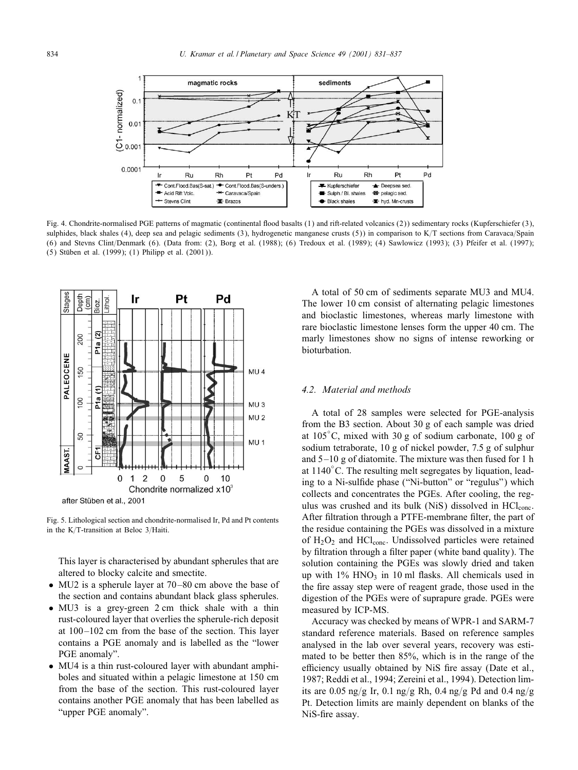

Fig. 4. Chondrite-normalised PGE patterns of magmatic (continental Mood basalts (1) and rift-related volcanics (2)) sedimentary rocks (Kupferschiefer (3), sulphides, black shales (4), deep sea and pelagic sediments (3), hydrogenetic manganese crusts (5)) in comparison to  $K/T$  sections from Caravaca/Spain (6) and Stevns Clint/Denmark (6). (Data from: (2), Borg et al. (1988); (6) Tredoux et al. (1989); (4) Sawlowicz (1993); (3) Pfeifer et al. (1997);  $(5)$  Stüben et al.  $(1999)$ ;  $(1)$  Philipp et al.  $(2001)$ ).



Fig. 5. Lithological section and chondrite-normalised Ir, Pd and Pt contents in the K/T-transition at Beloc  $3/H$ aiti.

This layer is characterised by abundant spherules that are altered to blocky calcite and smectite.

- MU2 is a spherule layer at 70–80 cm above the base of the section and contains abundant black glass spherules.
- MU3 is a grev-green 2 cm thick shale with a thin rust-coloured layer that overlies the spherule-rich deposit at 100 –102 cm from the base of the section. This layer contains a PGE anomaly and is labelled as the "lower PGE anomaly".
- MU4 is a thin rust-coloured layer with abundant amphiboles and situated within a pelagic limestone at 150 cm from the base of the section. This rust-coloured layer contains another PGE anomaly that has been labelled as "upper PGE anomaly".

A total of 50 cm of sediments separate MU3 and MU4. The lower 10 cm consist of alternating pelagic limestones and bioclastic limestones, whereas marly limestone with rare bioclastic limestone lenses form the upper 40 cm. The marly limestones show no signs of intense reworking or bioturbation.

# *4.2. Material and methods*

A total of 28 samples were selected for PGE-analysis from the B3 section. About 30 g of each sample was dried at 105◦ C, mixed with 30 g of sodium carbonate, 100 g of sodium tetraborate, 10 g of nickel powder, 7:5 g of sulphur and  $5-10$  g of diatomite. The mixture was then fused for 1 h at 1140◦ C. The resulting melt segregates by liquation, leading to a Ni-sulfide phase ("Ni-button" or "regulus") which collects and concentrates the PGEs. After cooling, the regulus was crushed and its bulk (NiS) dissolved in HCl<sub>conc</sub>. After filtration through a PTFE-membrane filter, the part of the residue containing the PGEs was dissolved in a mixture of  $H_2O_2$  and  $HCl_{conc}$ . Undissolved particles were retained by filtration through a filter paper (white band quality). The solution containing the PGEs was slowly dried and taken up with  $1\%$  HNO<sub>3</sub> in 10 ml flasks. All chemicals used in the fire assay step were of reagent grade, those used in the digestion of the PGEs were of suprapure grade. PGEs were measured by ICP-MS.

Accuracy was checked by means of WPR-1 and SARM-7 standard reference materials. Based on reference samples analysed in the lab over several years, recovery was estimated to be better then 85%, which is in the range of the efficiency usually obtained by NiS fire assay (Date et al., 1987; Reddi et al., 1994; Zereini et al., 1994). Detection limits are 0.05 ng/g Ir, 0.1 ng/g Rh, 0.4 ng/g Pd and 0.4 ng/g Pt. Detection limits are mainly dependent on blanks of the NiS-fire assay.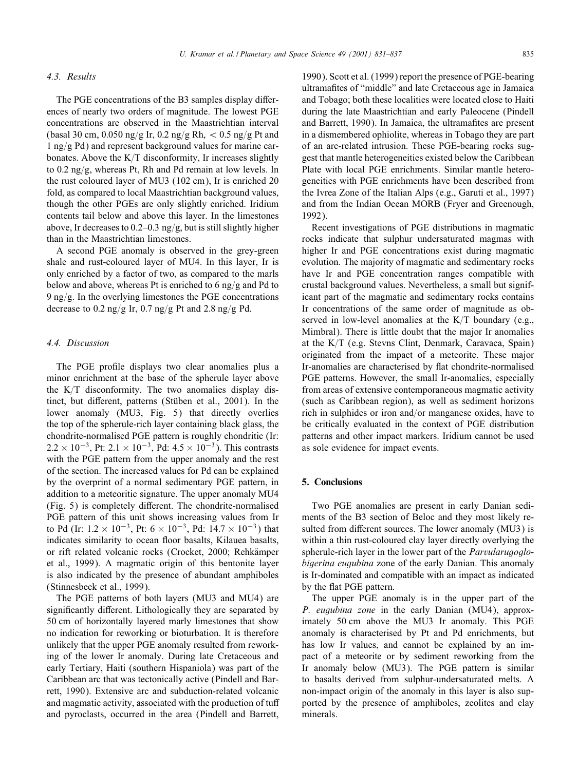# *4.3. Results*

The PGE concentrations of the B3 samples display differences of nearly two orders of magnitude. The lowest PGE concentrations are observed in the Maastrichtian interval (basal 30 cm, 0.050 ng/g Ir, 0.2 ng/g Rh,  $<$  0.5 ng/g Pt and  $1$  ng/g Pd) and represent background values for marine carbonates. Above the  $K/T$  disconformity, Ir increases slightly to 0.2 ng/g, whereas Pt, Rh and Pd remain at low levels. In the rust coloured layer of MU3 (102 cm); Ir is enriched 20 fold, as compared to local Maastrichtian background values, though the other PGEs are only slightly enriched. Iridium contents tail below and above this layer. In the limestones above, Ir decreases to  $0.2-0.3$  ng/g, but is still slightly higher than in the Maastrichtian limestones.

A second PGE anomaly is observed in the grey-green shale and rust-coloured layer of MU4. In this layer, Ir is only enriched by a factor of two, as compared to the marls below and above, whereas Pt is enriched to 6 ng/g and Pd to 9 ng/g. In the overlying limestones the PGE concentrations decrease to 0.2 ng/g Ir, 0.7 ng/g Pt and 2.8 ng/g Pd.

#### *4.4. Discussion*

The PGE profile displays two clear anomalies plus a minor enrichment at the base of the spherule layer above the  $K/T$  disconformity. The two anomalies display distinct, but different, patterns (Stüben et al., 2001). In the lower anomaly (MU3, Fig. 5) that directly overlies the top of the spherule-rich layer containing black glass, the chondrite-normalised PGE pattern is roughly chondritic (Ir:  $2.2 \times 10^{-3}$ , Pt:  $2.1 \times 10^{-3}$ , Pd:  $4.5 \times 10^{-3}$ ). This contrasts with the PGE pattern from the upper anomaly and the rest of the section. The increased values for Pd can be explained by the overprint of a normal sedimentary PGE pattern, in addition to a meteoritic signature. The upper anomaly MU4  $(Fig. 5)$  is completely different. The chondrite-normalised PGE pattern of this unit shows increasing values from Ir to Pd (Ir:  $1.2 \times 10^{-3}$ , Pt:  $6 \times 10^{-3}$ , Pd:  $14.7 \times 10^{-3}$ ) that indicates similarity to ocean floor basalts, Kilauea basalts, or rift related volcanic rocks (Crocket, 2000; Rehkämper et al., 1999). A magmatic origin of this bentonite layer is also indicated by the presence of abundant amphiboles (Stinnesbeck et al., 1999).

The PGE patterns of both layers (MU3 and MU4) are significantly different. Lithologically they are separated by 50 cm of horizontally layered marly limestones that show no indication for reworking or bioturbation. It is therefore unlikely that the upper PGE anomaly resulted from reworking of the lower Ir anomaly. During late Cretaceous and early Tertiary, Haiti (southern Hispaniola) was part of the Caribbean arc that was tectonically active (Pindell and Barrett, 1990). Extensive arc and subduction-related volcanic and magmatic activity, associated with the production of tuff and pyroclasts, occurred in the area (Pindell and Barrett,

1990). Scott et al. (1999) report the presence of PGE-bearing ultramafites of "middle" and late Cretaceous age in Jamaica and Tobago; both these localities were located close to Haiti during the late Maastrichtian and early Paleocene (Pindell and Barrett, 1990). In Jamaica, the ultramafites are present in a dismembered ophiolite, whereas in Tobago they are part of an arc-related intrusion. These PGE-bearing rocks suggest that mantle heterogeneities existed below the Caribbean Plate with local PGE enrichments. Similar mantle heterogeneities with PGE enrichments have been described from the Ivrea Zone of the Italian Alps (e.g., Garuti et al., 1997) and from the Indian Ocean MORB (Fryer and Greenough, 1992).

Recent investigations of PGE distributions in magmatic rocks indicate that sulphur undersaturated magmas with higher Ir and PGE concentrations exist during magmatic evolution. The majority of magmatic and sedimentary rocks have Ir and PGE concentration ranges compatible with crustal background values. Nevertheless, a small but significant part of the magmatic and sedimentary rocks contains Ir concentrations of the same order of magnitude as observed in low-level anomalies at the  $K/T$  boundary (e.g., Mimbral). There is little doubt that the major Ir anomalies at the  $K/T$  (e.g. Stevns Clint, Denmark, Caravaca, Spain) originated from the impact of a meteorite. These major Ir-anomalies are characterised by Mat chondrite-normalised PGE patterns. However, the small Ir-anomalies, especially from areas of extensive contemporaneous magmatic activity (such as Caribbean region), as well as sediment horizons rich in sulphides or iron and/or manganese oxides, have to be critically evaluated in the context of PGE distribution patterns and other impact markers. Iridium cannot be used as sole evidence for impact events.

# 5. Conclusions

Two PGE anomalies are present in early Danian sediments of the B3 section of Beloc and they most likely resulted from different sources. The lower anomaly (MU3) is within a thin rust-coloured clay layer directly overlying the spherule-rich layer in the lower part of the *Parvularugoglobigerina eugubina* zone of the early Danian. This anomaly is Ir-dominated and compatible with an impact as indicated by the flat PGE pattern.

The upper PGE anomaly is in the upper part of the *P. eugubina zone* in the early Danian (MU4), approximately 50 cm above the MU3 Ir anomaly. This PGE anomaly is characterised by Pt and Pd enrichments, but has low Ir values, and cannot be explained by an impact of a meteorite or by sediment reworking from the Ir anomaly below (MU3). The PGE pattern is similar to basalts derived from sulphur-undersaturated melts. A non-impact origin of the anomaly in this layer is also supported by the presence of amphiboles, zeolites and clay minerals.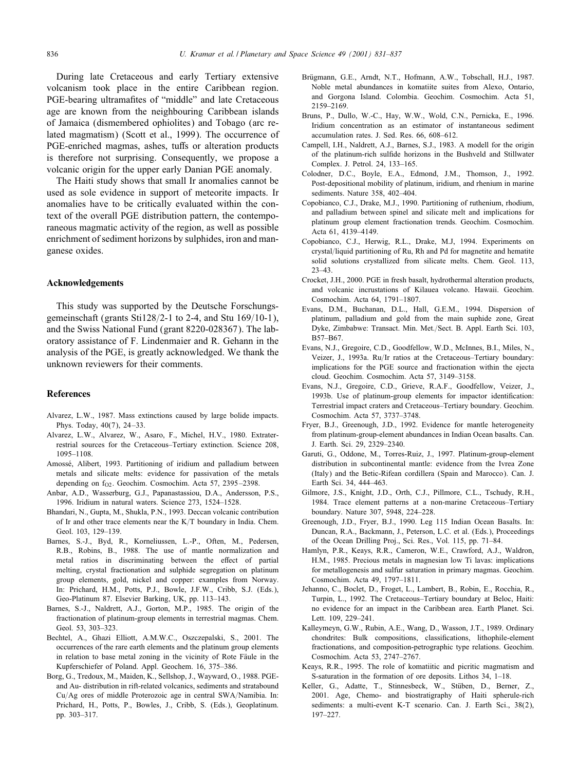During late Cretaceous and early Tertiary extensive volcanism took place in the entire Caribbean region. PGE-bearing ultramafites of "middle" and late Cretaceous age are known from the neighbouring Caribbean islands of Jamaica (dismembered ophiolites) and Tobago (arc related magmatism) (Scott et al., 1999). The occurrence of PGE-enriched magmas, ashes, tuffs or alteration products is therefore not surprising. Consequently, we propose a volcanic origin for the upper early Danian PGE anomaly.

The Haiti study shows that small Ir anomalies cannot be used as sole evidence in support of meteorite impacts. Ir anomalies have to be critically evaluated within the context of the overall PGE distribution pattern, the contemporaneous magmatic activity of the region, as well as possible enrichment of sediment horizons by sulphides, iron and manganese oxides.

# Acknowledgements

This study was supported by the Deutsche Forschungsgemeinschaft (grants Sti128/2-1 to 2-4, and Stu 169/10-1), and the Swiss National Fund (grant 8220-028367). The laboratory assistance of F. Lindenmaier and R. Gehann in the analysis of the PGE, is greatly acknowledged. We thank the unknown reviewers for their comments.

#### References

- Alvarez, L.W., 1987. Mass extinctions caused by large bolide impacts. Phys. Today, 40(7), 24 –33.
- Alvarez, L.W., Alvarez, W., Asaro, F., Michel, H.V., 1980. Extraterrestrial sources for the Cretaceous–Tertiary extinction. Science 208, 1095–1108.
- Amossé, Alibert, 1993. Partitioning of iridium and palladium between metals and silicate melts: evidence for passivation of the metals depending on  $f_{O2}$ . Geochim. Cosmochim. Acta 57, 2395–2398.
- Anbar, A.D., Wasserburg, G.J., Papanastassiou, D.A., Andersson, P.S., 1996. Iridium in natural waters. Science 273, 1524–1528.
- Bhandari, N., Gupta, M., Shukla, P.N., 1993. Deccan volcanic contribution of Ir and other trace elements near the K/T boundary in India. Chem. Geol. 103, 129–139.
- Barnes, S.-J., Byd, R., Korneliussen, L.-P., Often, M., Pedersen, R.B., Robins, B., 1988. The use of mantle normalization and metal ratios in discriminating between the effect of partial melting, crystal fractionation and sulphide segregation on platinum group elements, gold, nickel and copper: examples from Norway. In: Prichard, H.M., Potts, P.J., Bowle, J.F.W., Cribb, S.J. (Eds.), Geo-Platinum 87. Elsevier Barking, UK, pp. 113–143.
- Barnes, S.-J., Naldrett, A.J., Gorton, M.P., 1985. The origin of the fractionation of platinum-group elements in terrestrial magmas. Chem. Geol. 53, 303–323.
- Bechtel, A., Ghazi Elliott, A.M.W.C., Oszczepalski, S., 2001. The occurrences of the rare earth elements and the platinum group elements in relation to base metal zoning in the vicinity of Rote Fäule in the Kupferschiefer of Poland. Appl. Geochem. 16, 375–386.
- Borg, G., Tredoux, M., Maiden, K., Sellshop, J., Wayward, O., 1988. PGEand Au- distribution in rift-related volcanics, sediments and stratabound Cu/Ag ores of middle Proterozoic age in central SWA/Namibia. In: Prichard, H., Potts, P., Bowles, J., Cribb, S. (Eds.), Geoplatinum. pp. 303–317.
- Brügmann, G.E., Arndt, N.T., Hofmann, A.W., Tobschall, H.J., 1987. Noble metal abundances in komatiite suites from Alexo, Ontario, and Gorgona Island. Colombia. Geochim. Cosmochim. Acta 51, 2159–2169.
- Bruns, P., Dullo, W.-C., Hay, W.W., Wold, C.N., Pernicka, E., 1996. Iridium concentration as an estimator of instantaneous sediment accumulation rates. J. Sed. Res. 66, 608–612.
- Campell, I.H., Naldrett, A.J., Barnes, S.J., 1983. A modell for the origin of the platinum-rich sulfide horizons in the Bushveld and Stillwater Complex. J. Petrol. 24, 133–165.
- Colodner, D.C., Boyle, E.A., Edmond, J.M., Thomson, J., 1992. Post-depositional mobility of platinum, iridium, and rhenium in marine sediments. Nature 358, 402–404.
- Copobianco, C.J., Drake, M.J., 1990. Partitioning of ruthenium, rhodium, and palladium between spinel and silicate melt and implications for platinum group element fractionation trends. Geochim. Cosmochim. Acta 61, 4139–4149.
- Copobianco, C.J., Herwig, R.L., Drake, M.J, 1994. Experiments on crystal/liquid partitioning of Ru, Rh and Pd for magnetite and hematite solid solutions crystallized from silicate melts. Chem. Geol. 113, 23–43.
- Crocket, J.H., 2000. PGE in fresh basalt, hydrothermal alteration products, and volcanic incrustations of Kilauea volcano. Hawaii. Geochim. Cosmochim. Acta 64, 1791–1807.
- Evans, D.M., Buchanan, D.L., Hall, G.E.M., 1994. Dispersion of platinum, palladium and gold from the main suphide zone, Great Dyke, Zimbabwe: Transact. Min. Met./Sect. B. Appl. Earth Sci. 103, B57–B67.
- Evans, N.J., Gregoire, C.D., Goodfellow, W.D., McInnes, B.I., Miles, N., Veizer, J., 1993a. Ru/Ir ratios at the Cretaceous–Tertiary boundary: implications for the PGE source and fractionation within the ejecta cloud. Geochim. Cosmochim. Acta 57, 3149–3158.
- Evans, N.J., Gregoire, C.D., Grieve, R.A.F., Goodfellow, Veizer, J., 1993b. Use of platinum-group elements for impactor identification: Terrestrial impact craters and Cretaceous–Tertiary boundary. Geochim. Cosmochim. Acta 57, 3737–3748.
- Fryer, B.J., Greenough, J.D., 1992. Evidence for mantle heterogeneity from platinum-group-element abundances in Indian Ocean basalts. Can. J. Earth. Sci. 29, 2329–2340.
- Garuti, G., Oddone, M., Torres-Ruiz, J., 1997. Platinum-group-element distribution in subcontinental mantle: evidence from the Ivrea Zone (Italy) and the Betic-Rifean cordillera (Spain and Marocco). Can. J. Earth Sci. 34, 444–463.
- Gilmore, J.S., Knight, J.D., Orth, C.J., Pillmore, C.L., Tschudy, R.H., 1984. Trace element patterns at a non-marine Cretaceous–Tertiary boundary. Nature 307, 5948, 224–228.
- Greenough, J.D., Fryer, B.J., 1990. Leg 115 Indian Ocean Basalts. In: Duncan, R.A., Backmann, J., Peterson, L.C. et al. (Eds.), Proceedings of the Ocean Drilling Proj., Sci. Res., Vol. 115, pp. 71–84.
- Hamlyn, P.R., Keays, R.R., Cameron, W.E., Crawford, A.J., Waldron, H.M., 1985. Precious metals in magnesian low Ti lavas: implications for metallogenesis and sulfur saturation in primary magmas. Geochim. Cosmochim. Acta 49, 1797–1811.
- Jehanno, C., Boclet, D., Froget, L., Lambert, B., Robin, E., Rocchia, R., Turpin, L., 1992. The Cretaceous–Tertiary boundary at Beloc, Haiti: no evidence for an impact in the Caribbean area. Earth Planet. Sci. Lett. 109, 229–241.
- Kalleymeyn, G.W., Rubin, A.E., Wang, D., Wasson, J.T., 1989. Ordinary chondrites: Bulk compositions, classifications, lithophile-element fractionations, and composition-petrographic type relations. Geochim. Cosmochim. Acta 53, 2747–2767.
- Keays, R.R., 1995. The role of komatiitic and picritic magmatism and S-saturation in the formation of ore deposits. Lithos 34, 1–18.
- Keller, G., Adatte, T., Stinnesbeck, W., Stüben, D., Berner, Z., 2001. Age, Chemo- and biostratigraphy of Haiti spherule-rich sediments: a multi-event K-T scenario. Can. J. Earth Sci., 38(2), 197–227.